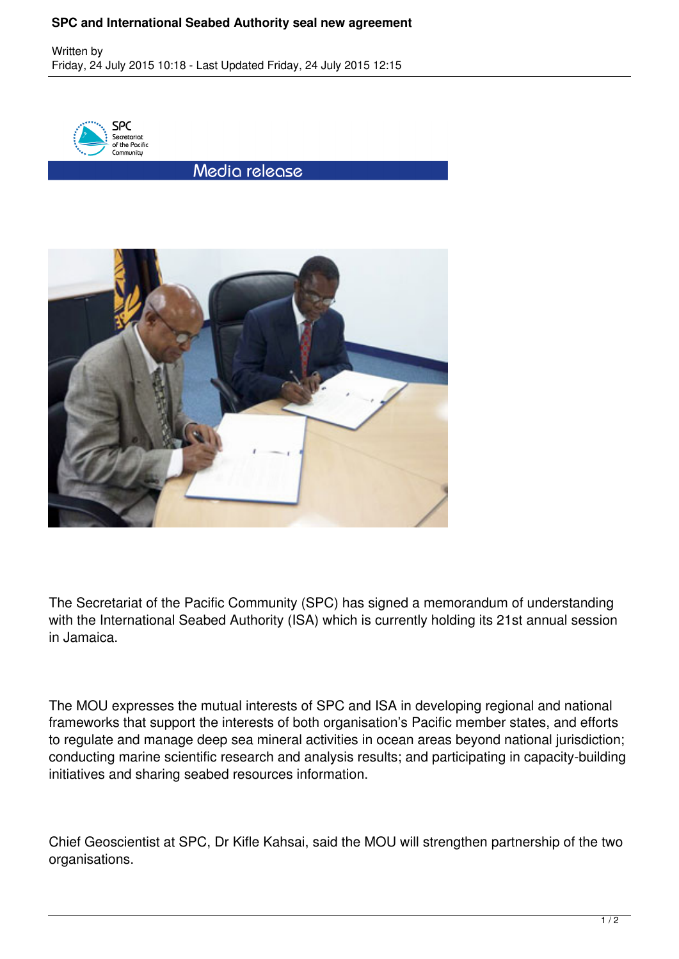## **SPC and International Seabed Authority seal new agreement**

Written by Friday, 24 July 2015 10:18 - Last Updated Friday, 24 July 2015 12:15



Media release



The Secretariat of the Pacific Community (SPC) has signed a memorandum of understanding with the International Seabed Authority (ISA) which is currently holding its 21st annual session in Jamaica.

The MOU expresses the mutual interests of SPC and ISA in developing regional and national frameworks that support the interests of both organisation's Pacific member states, and efforts to regulate and manage deep sea mineral activities in ocean areas beyond national jurisdiction; conducting marine scientific research and analysis results; and participating in capacity-building initiatives and sharing seabed resources information.

Chief Geoscientist at SPC, Dr Kifle Kahsai, said the MOU will strengthen partnership of the two organisations.